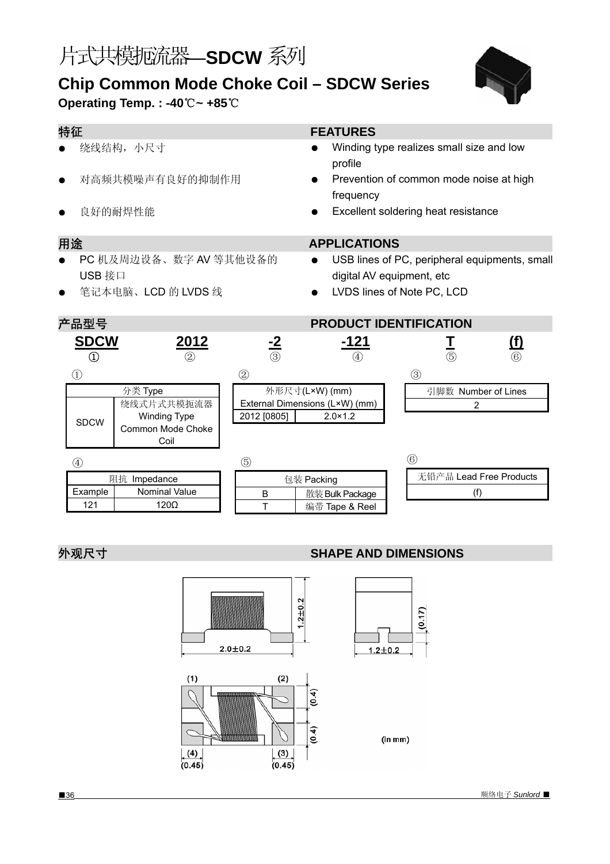# 片式共模扼流器—**SDCW** 系列

## **Chip Common Mode Choke Coil – SDCW Series Operating Temp. : -40**℃**~ +85**℃



| 特征                               |                                                                |                        | <b>FEATURES</b>                                    |                                                                                                          |  |  |  |
|----------------------------------|----------------------------------------------------------------|------------------------|----------------------------------------------------|----------------------------------------------------------------------------------------------------------|--|--|--|
|                                  | 绕线结构, 小尺寸                                                      |                        | profile                                            | Winding type realizes small size and low                                                                 |  |  |  |
| $\bullet$                        | 对高频共模噪声有良好的抑制作用                                                |                        | frequency                                          | Prevention of common mode noise at high                                                                  |  |  |  |
| $\bullet$                        | 良好的耐焊性能                                                        |                        |                                                    | Excellent soldering heat resistance                                                                      |  |  |  |
| 用途                               |                                                                |                        | <b>APPLICATIONS</b>                                |                                                                                                          |  |  |  |
| $\bullet$<br>USB 接口<br>$\bullet$ | PC 机及周边设备、数字 AV 等其他设备的<br>笔记本电脑、LCD 的 LVDS 线                   |                        |                                                    | USB lines of PC, peripheral equipments, small<br>digital AV equipment, etc<br>LVDS lines of Note PC, LCD |  |  |  |
| 产品型号                             |                                                                |                        | <b>PRODUCT IDENTIFICATION</b>                      |                                                                                                          |  |  |  |
| <b>SDCW</b><br>$^\copyright$     | <u> 2012 </u><br>(2)                                           | $\frac{-2}{\circledS}$ | -121                                               | <u>(f)</u><br>$\frac{1}{\textcircled{\scriptsize{5}}}$<br>$\circled6$                                    |  |  |  |
| $\left( \overline{1}\right)$     |                                                                | $^{\rm \odot}$         |                                                    | ③                                                                                                        |  |  |  |
|                                  | 分类 Type                                                        | 外形尺寸(L×W) (mm)         |                                                    | 引脚数 Number of Lines                                                                                      |  |  |  |
| <b>SDCW</b>                      | 绕线式片式共模扼流器<br><b>Winding Type</b><br>Common Mode Choke<br>Coil | 2012 [0805]            | External Dimensions (L×W) (mm)<br>$2.0 \times 1.2$ | 2                                                                                                        |  |  |  |
| $\circled{4}$                    |                                                                | $\circledS$            |                                                    | (6)                                                                                                      |  |  |  |
| 阻抗 Impedance                     |                                                                | 包装 Packing             |                                                    | 无铅产品 Lead Free Products                                                                                  |  |  |  |
| Example                          | Nominal Value                                                  | B                      | 散装 Bulk Package                                    | (f)                                                                                                      |  |  |  |
| 121                              | $120\Omega$                                                    | $\top$                 | 编带 Tape & Reel                                     |                                                                                                          |  |  |  |

### **外观尺寸** *SHAPE AND DIMENSIONS*